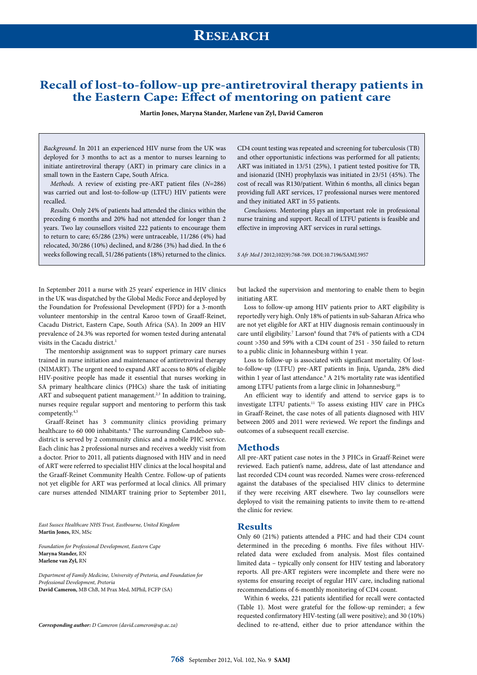# **Recall of lost-to-follow-up pre-antiretroviral therapy patients in the Eastern Cape: Effect of mentoring on patient care**

**Martin Jones, Maryna Stander, Marlene van Zyl, David Cameron**

*Background*. In 2011 an experienced HIV nurse from the UK was deployed for 3 months to act as a mentor to nurses learning to initiate antiretroviral therapy (ART) in primary care clinics in a small town in the Eastern Cape, South Africa.

*Methods.* A review of existing pre-ART patient files (*N*=286) was carried out and lost-to-follow-up (LTFU) HIV patients were recalled.

*Results.* Only 24% of patients had attended the clinics within the preceding 6 months and 20% had not attended for longer than 2 years. Two lay counsellors visited 222 patients to encourage them to return to care; 65/286 (23%) were untraceable, 11/286 (4%) had relocated, 30/286 (10%) declined, and 8/286 (3%) had died. In the 6 weeks following recall, 51/286 patients (18%) returned to the clinics. CD4 count testing was repeated and screening for tuberculosis (TB) and other opportunistic infections was performed for all patients; ART was initiated in 13/51 (25%), 1 patient tested positive for TB, and isionazid (INH) prophylaxis was initiated in 23/51 (45%). The cost of recall was R130/patient. Within 6 months, all clinics began providing full ART services, 17 professional nurses were mentored and they initiated ART in 55 patients.

*Conclusions.* Mentoring plays an important role in professional nurse training and support. Recall of LTFU patients is feasible and effective in improving ART services in rural settings.

*S Afr Med J* 2012;102(9):768-769. DOI:10.7196/SAMJ.5957

In September 2011 a nurse with 25 years' experience in HIV clinics in the UK was dispatched by the Global Medic Force and deployed by the Foundation for Professional Development (FPD) for a 3-month volunteer mentorship in the central Karoo town of Graaff-Reinet, Cacadu District, Eastern Cape, South Africa (SA). In 2009 an HIV prevalence of 24.3% was reported for women tested during antenatal visits in the Cacadu district.<sup>1</sup>

The mentorship assignment was to support primary care nurses trained in nurse initiation and maintenance of antiretroviral therapy (NIMART). The urgent need to expand ART access to 80% of eligible HIV-positive people has made it essential that nurses working in SA primary healthcare clinics (PHCs) share the task of initiating ART and subsequent patient management.<sup>2,3</sup> In addition to training, nurses require regular support and mentoring to perform this task competently.4,5

Graaff-Reinet has 3 community clinics providing primary healthcare to 60 000 inhabitants.<sup>6</sup> The surrounding Camdeboo subdistrict is served by 2 community clinics and a mobile PHC service. Each clinic has 2 professional nurses and receives a weekly visit from a doctor. Prior to 2011, all patients diagnosed with HIV and in need of ART were referred to specialist HIV clinics at the local hospital and the Graaff-Reinet Community Health Centre. Follow-up of patients not yet eligible for ART was performed at local clinics. All primary care nurses attended NIMART training prior to September 2011,

*East Sussex Healthcare NHS Trust, Eastbourne, United Kingdom* **Martin Jones,** RN, MSc

*Foundation for Professional Development, Eastern Cape* **Maryna Stander,** RN **Marlene van Zyl,** RN

*Department of Family Medicine, University of Pretoria, and Foundation for Professional Development, Pretoria*  **David Cameron,** MB ChB, M Prax Med, MPhil, FCFP (SA)

*Corresponding author: D Cameron (david.cameron@up.ac.za)*

but lacked the supervision and mentoring to enable them to begin initiating ART.

Loss to follow-up among HIV patients prior to ART eligibility is reportedly very high. Only 18% of patients in sub-Saharan Africa who are not yet eligible for ART at HIV diagnosis remain continuously in care until eligibility.<sup>7</sup> Larson<sup>8</sup> found that 74% of patients with a CD4 count >350 and 59% with a CD4 count of 251 - 350 failed to return to a public clinic in Johannesburg within 1 year.

Loss to follow-up is associated with significant mortality. Of lostto-follow-up (LTFU) pre-ART patients in Jinja, Uganda, 28% died within 1 year of last attendance.<sup>9</sup> A 21% mortality rate was identified among LTFU patients from a large clinic in Johannesburg.<sup>10</sup>

An efficient way to identify and attend to service gaps is to investigate LTFU patients.<sup>11</sup> To assess existing HIV care in PHCs in Graaff-Reinet, the case notes of all patients diagnosed with HIV between 2005 and 2011 were reviewed. We report the findings and outcomes of a subsequent recall exercise.

#### **Methods**

All pre-ART patient case notes in the 3 PHCs in Graaff-Reinet were reviewed. Each patient's name, address, date of last attendance and last recorded CD4 count was recorded. Names were cross-referenced against the databases of the specialised HIV clinics to determine if they were receiving ART elsewhere. Two lay counsellors were deployed to visit the remaining patients to invite them to re-attend the clinic for review.

# **Results**

Only 60 (21%) patients attended a PHC and had their CD4 count determined in the preceding 6 months. Five files without HIVrelated data were excluded from analysis. Most files contained limited data – typically only consent for HIV testing and laboratory reports. All pre-ART registers were incomplete and there were no systems for ensuring receipt of regular HIV care, including national recommendations of 6-monthly monitoring of CD4 count.

Within 6 weeks, 221 patients identified for recall were contacted (Table 1). Most were grateful for the follow-up reminder; a few requested confirmatory HIV-testing (all were positive); and 30 (10%) declined to re-attend, either due to prior attendance within the